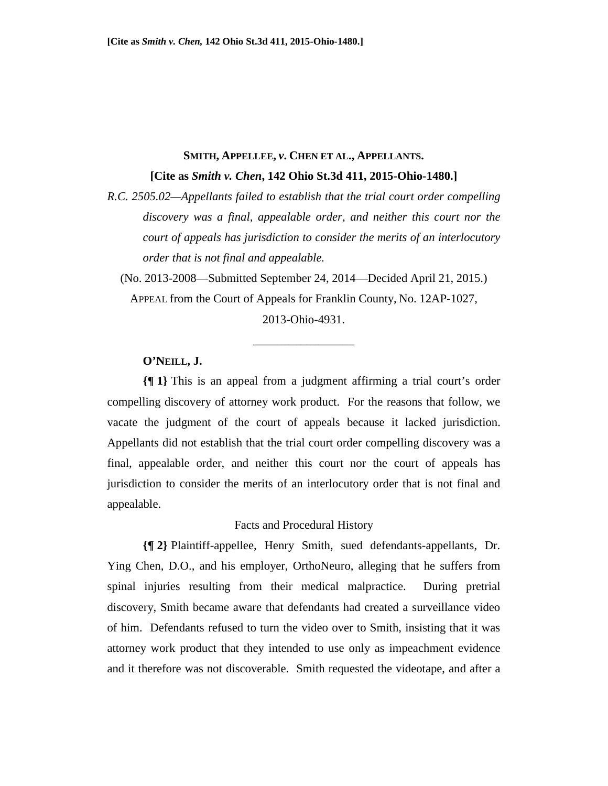# **SMITH, APPELLEE,** *v***. CHEN ET AL., APPELLANTS. [Cite as** *Smith v. Chen***, 142 Ohio St.3d 411, 2015-Ohio-1480.]**

*R.C. 2505.02—Appellants failed to establish that the trial court order compelling discovery was a final, appealable order, and neither this court nor the court of appeals has jurisdiction to consider the merits of an interlocutory order that is not final and appealable.* 

(No. 2013-2008—Submitted September 24, 2014—Decided April 21, 2015.) APPEAL from the Court of Appeals for Franklin County, No. 12AP-1027, 2013-Ohio-4931.

\_\_\_\_\_\_\_\_\_\_\_\_\_\_\_\_\_

## **O'NEILL, J.**

**{¶ 1}** This is an appeal from a judgment affirming a trial court's order compelling discovery of attorney work product. For the reasons that follow, we vacate the judgment of the court of appeals because it lacked jurisdiction. Appellants did not establish that the trial court order compelling discovery was a final, appealable order, and neither this court nor the court of appeals has jurisdiction to consider the merits of an interlocutory order that is not final and appealable.

### Facts and Procedural History

**{¶ 2}** Plaintiff-appellee, Henry Smith, sued defendants-appellants, Dr. Ying Chen, D.O., and his employer, OrthoNeuro, alleging that he suffers from spinal injuries resulting from their medical malpractice. During pretrial discovery, Smith became aware that defendants had created a surveillance video of him. Defendants refused to turn the video over to Smith, insisting that it was attorney work product that they intended to use only as impeachment evidence and it therefore was not discoverable. Smith requested the videotape, and after a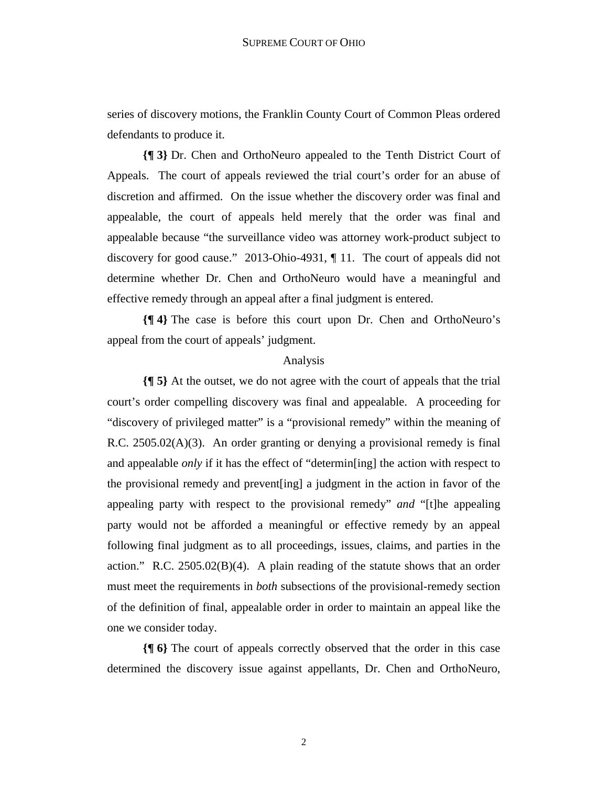series of discovery motions, the Franklin County Court of Common Pleas ordered defendants to produce it.

**{¶ 3}** Dr. Chen and OrthoNeuro appealed to the Tenth District Court of Appeals. The court of appeals reviewed the trial court's order for an abuse of discretion and affirmed. On the issue whether the discovery order was final and appealable, the court of appeals held merely that the order was final and appealable because "the surveillance video was attorney work-product subject to discovery for good cause." 2013-Ohio-4931, ¶ 11. The court of appeals did not determine whether Dr. Chen and OrthoNeuro would have a meaningful and effective remedy through an appeal after a final judgment is entered.

**{¶ 4}** The case is before this court upon Dr. Chen and OrthoNeuro's appeal from the court of appeals' judgment.

### Analysis

**{¶ 5}** At the outset, we do not agree with the court of appeals that the trial court's order compelling discovery was final and appealable. A proceeding for "discovery of privileged matter" is a "provisional remedy" within the meaning of R.C.  $2505.02(A)(3)$ . An order granting or denying a provisional remedy is final and appealable *only* if it has the effect of "determin[ing] the action with respect to the provisional remedy and prevent[ing] a judgment in the action in favor of the appealing party with respect to the provisional remedy" *and* "[t]he appealing party would not be afforded a meaningful or effective remedy by an appeal following final judgment as to all proceedings, issues, claims, and parties in the action." R.C.  $2505.02(B)(4)$ . A plain reading of the statute shows that an order must meet the requirements in *both* subsections of the provisional-remedy section of the definition of final, appealable order in order to maintain an appeal like the one we consider today.

**{¶ 6}** The court of appeals correctly observed that the order in this case determined the discovery issue against appellants, Dr. Chen and OrthoNeuro,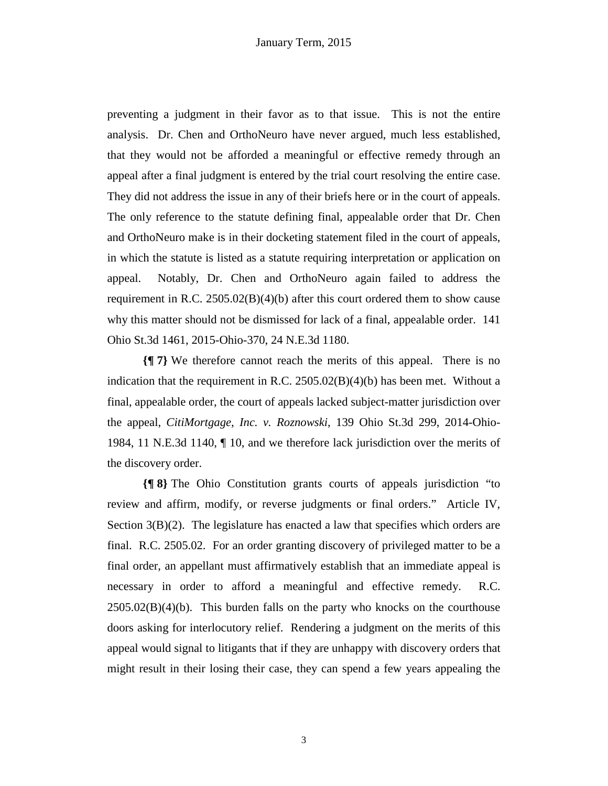preventing a judgment in their favor as to that issue. This is not the entire analysis. Dr. Chen and OrthoNeuro have never argued, much less established, that they would not be afforded a meaningful or effective remedy through an appeal after a final judgment is entered by the trial court resolving the entire case. They did not address the issue in any of their briefs here or in the court of appeals. The only reference to the statute defining final, appealable order that Dr. Chen and OrthoNeuro make is in their docketing statement filed in the court of appeals, in which the statute is listed as a statute requiring interpretation or application on appeal. Notably, Dr. Chen and OrthoNeuro again failed to address the requirement in R.C.  $2505.02(B)(4)(b)$  after this court ordered them to show cause why this matter should not be dismissed for lack of a final, appealable order. 141 Ohio St.3d 1461, 2015-Ohio-370, 24 N.E.3d 1180.

**{¶ 7}** We therefore cannot reach the merits of this appeal. There is no indication that the requirement in R.C.  $2505.02(B)(4)(b)$  has been met. Without a final, appealable order, the court of appeals lacked subject-matter jurisdiction over the appeal, *CitiMortgage, Inc. v. Roznowski*, 139 Ohio St.3d 299, 2014-Ohio-1984, 11 N.E.3d 1140, ¶ 10, and we therefore lack jurisdiction over the merits of the discovery order.

**{¶ 8}** The Ohio Constitution grants courts of appeals jurisdiction "to review and affirm, modify, or reverse judgments or final orders." Article IV, Section 3(B)(2). The legislature has enacted a law that specifies which orders are final. R.C. 2505.02. For an order granting discovery of privileged matter to be a final order, an appellant must affirmatively establish that an immediate appeal is necessary in order to afford a meaningful and effective remedy. R.C.  $2505.02(B)(4)(b)$ . This burden falls on the party who knocks on the courthouse doors asking for interlocutory relief. Rendering a judgment on the merits of this appeal would signal to litigants that if they are unhappy with discovery orders that might result in their losing their case, they can spend a few years appealing the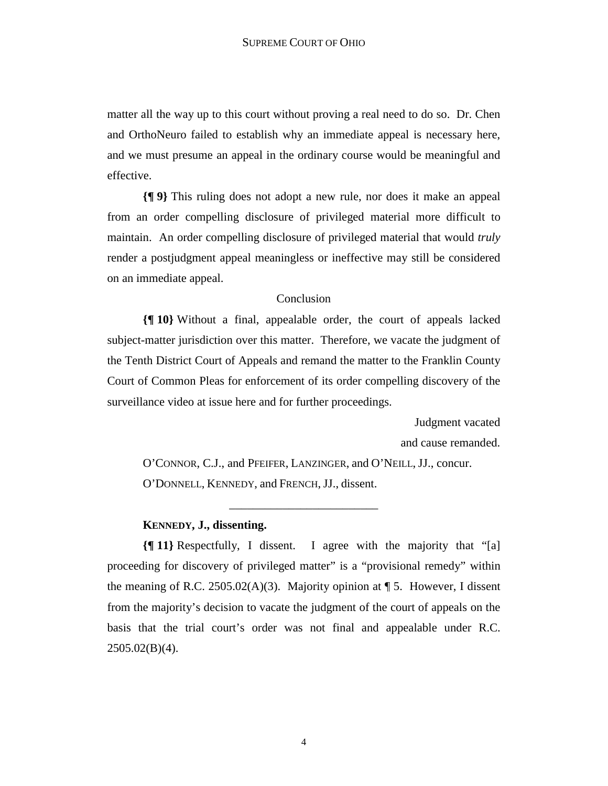matter all the way up to this court without proving a real need to do so. Dr. Chen and OrthoNeuro failed to establish why an immediate appeal is necessary here, and we must presume an appeal in the ordinary course would be meaningful and effective.

**{¶ 9}** This ruling does not adopt a new rule, nor does it make an appeal from an order compelling disclosure of privileged material more difficult to maintain. An order compelling disclosure of privileged material that would *truly* render a postjudgment appeal meaningless or ineffective may still be considered on an immediate appeal.

#### Conclusion

**{¶ 10}** Without a final, appealable order, the court of appeals lacked subject-matter jurisdiction over this matter. Therefore, we vacate the judgment of the Tenth District Court of Appeals and remand the matter to the Franklin County Court of Common Pleas for enforcement of its order compelling discovery of the surveillance video at issue here and for further proceedings.

> Judgment vacated and cause remanded.

O'CONNOR, C.J., and PFEIFER, LANZINGER, and O'NEILL, JJ., concur. O'DONNELL, KENNEDY, and FRENCH, JJ., dissent.

\_\_\_\_\_\_\_\_\_\_\_\_\_\_\_\_\_\_\_\_\_\_\_\_\_

### **KENNEDY, J., dissenting.**

**{¶ 11}** Respectfully, I dissent. I agree with the majority that "[a] proceeding for discovery of privileged matter" is a "provisional remedy" within the meaning of R.C. 2505.02(A)(3). Majority opinion at  $\P$  5. However, I dissent from the majority's decision to vacate the judgment of the court of appeals on the basis that the trial court's order was not final and appealable under R.C.  $2505.02(B)(4)$ .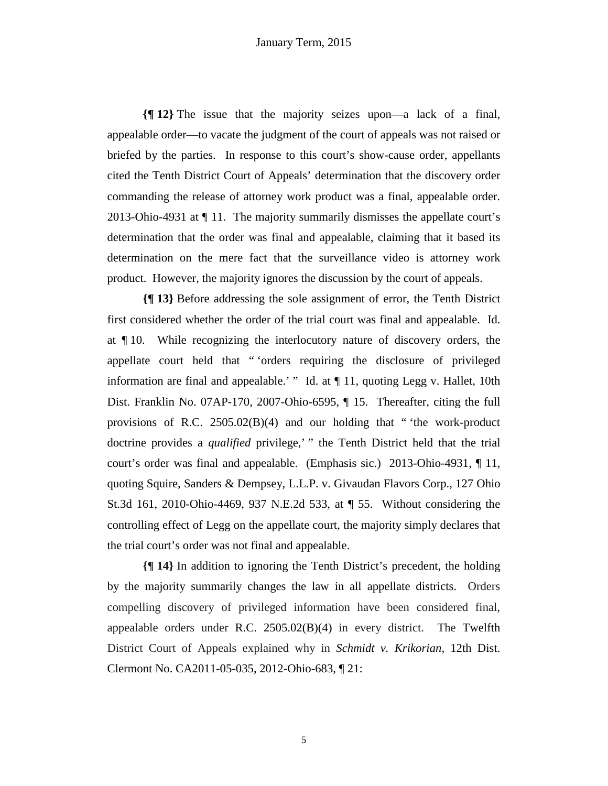**{¶ 12}** The issue that the majority seizes upon—a lack of a final, appealable order—to vacate the judgment of the court of appeals was not raised or briefed by the parties. In response to this court's show-cause order, appellants cited the Tenth District Court of Appeals' determination that the discovery order commanding the release of attorney work product was a final, appealable order. 2013-Ohio-4931 at ¶ 11. The majority summarily dismisses the appellate court's determination that the order was final and appealable, claiming that it based its determination on the mere fact that the surveillance video is attorney work product. However, the majority ignores the discussion by the court of appeals.

**{¶ 13}** Before addressing the sole assignment of error, the Tenth District first considered whether the order of the trial court was final and appealable. Id. at ¶ 10. While recognizing the interlocutory nature of discovery orders, the appellate court held that " 'orders requiring the disclosure of privileged information are final and appealable.' " Id. at  $\P$  11, quoting Legg v. Hallet, 10th Dist. Franklin No. 07AP-170, 2007-Ohio-6595, ¶ 15. Thereafter, citing the full provisions of R.C. 2505.02(B)(4) and our holding that " 'the work-product doctrine provides a *qualified* privilege,' " the Tenth District held that the trial court's order was final and appealable. (Emphasis sic.) 2013-Ohio-4931, ¶ 11, quoting Squire, Sanders & Dempsey, L.L.P. v. Givaudan Flavors Corp., 127 Ohio St.3d 161, 2010-Ohio-4469, 937 N.E.2d 533, at ¶ 55. Without considering the controlling effect of Legg on the appellate court, the majority simply declares that the trial court's order was not final and appealable.

**{¶ 14}** In addition to ignoring the Tenth District's precedent, the holding by the majority summarily changes the law in all appellate districts. Orders compelling discovery of privileged information have been considered final, appealable orders under R.C. 2505.02(B)(4) in every district. The Twelfth District Court of Appeals explained why in *Schmidt v. Krikorian*, 12th Dist. Clermont No. CA2011-05-035, 2012-Ohio-683, ¶ 21: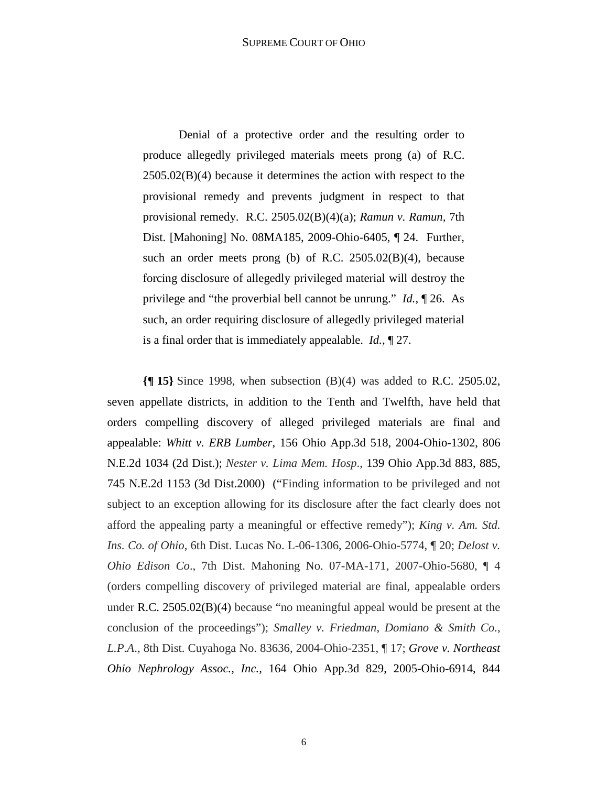Denial of a protective order and the resulting order to produce allegedly privileged materials meets prong (a) of R.C. 2505.02(B)(4) because it determines the action with respect to the provisional remedy and prevents judgment in respect to that provisional remedy. R.C. 2505.02(B)(4)(a); *Ramun v. Ramun,* 7th Dist. [Mahoning] No. 08MA185, 2009-Ohio-6405, ¶ 24. Further, such an order meets prong (b) of R.C. 2505.02(B)(4), because forcing disclosure of allegedly privileged material will destroy the privilege and "the proverbial bell cannot be unrung." *Id.,* ¶ 26. As such, an order requiring disclosure of allegedly privileged material is a final order that is immediately appealable. *Id.,* ¶ 27.

**{¶ 15}** Since 1998, when subsection (B)(4) was added to R.C. 2505.02, seven appellate districts, in addition to the Tenth and Twelfth, have held that orders compelling discovery of alleged privileged materials are final and appealable: *Whitt v. ERB Lumber*, 156 Ohio App.3d 518, 2004-Ohio-1302, 806 N.E.2d 1034 (2d Dist.); *Nester v. Lima Mem. Hosp*., 139 Ohio App.3d 883, 885, 745 N.E.2d 1153 (3d Dist.2000) ("Finding information to be privileged and not subject to an exception allowing for its disclosure after the fact clearly does not afford the appealing party a meaningful or effective remedy"); *King v. Am. Std. Ins. Co. of Ohio*, 6th Dist. Lucas No. L-06-1306, 2006-Ohio-5774, ¶ 20; *Delost v. Ohio Edison Co*., 7th Dist. Mahoning No. 07-MA-171, 2007-Ohio-5680, ¶ 4 (orders compelling discovery of privileged material are final, appealable orders under R.C. 2505.02(B)(4) because "no meaningful appeal would be present at the conclusion of the proceedings"); *Smalley v. Friedman, Domiano & Smith Co., L.P.A*., 8th Dist. Cuyahoga No. 83636, 2004-Ohio-2351, ¶ 17; *Grove v. Northeast Ohio Nephrology Assoc., Inc.,* 164 Ohio App.3d 829, 2005-Ohio-6914, 844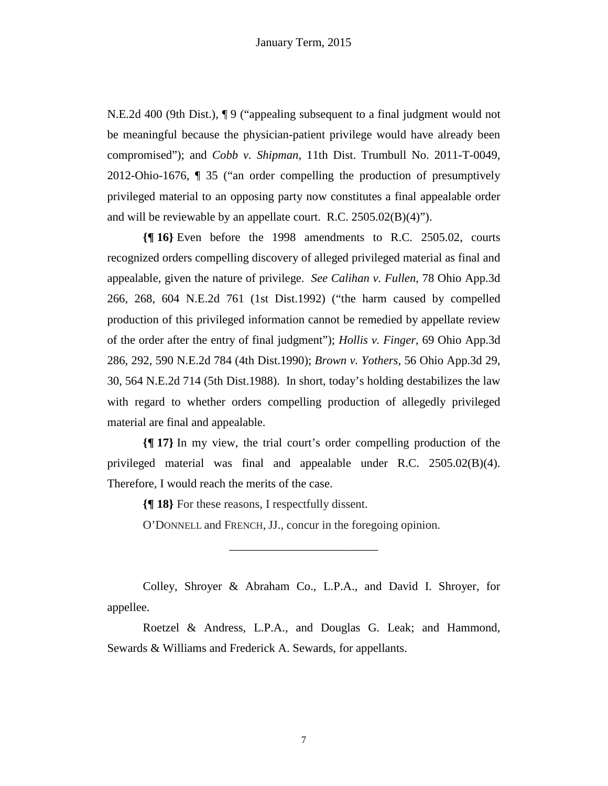N.E.2d 400 (9th Dist.), ¶ 9 ("appealing subsequent to a final judgment would not be meaningful because the physician-patient privilege would have already been compromised"); and *Cobb v. Shipman*, 11th Dist. Trumbull No. 2011-T-0049, 2012-Ohio-1676, ¶ 35 ("an order compelling the production of presumptively privileged material to an opposing party now constitutes a final appealable order and will be reviewable by an appellate court. R.C. 2505.02(B)(4)").

**{¶ 16}** Even before the 1998 amendments to R.C. 2505.02, courts recognized orders compelling discovery of alleged privileged material as final and appealable, given the nature of privilege. *See Calihan v. Fullen*, 78 Ohio App.3d 266, 268, 604 N.E.2d 761 (1st Dist.1992) ("the harm caused by compelled production of this privileged information cannot be remedied by appellate review of the order after the entry of final judgment"); *Hollis v. Finger*, 69 Ohio App.3d 286, 292, 590 N.E.2d 784 (4th Dist.1990); *Brown v. Yothers*, 56 Ohio App.3d 29, 30, 564 N.E.2d 714 (5th Dist.1988). In short, today's holding destabilizes the law with regard to whether orders compelling production of allegedly privileged material are final and appealable.

**{¶ 17}** In my view, the trial court's order compelling production of the privileged material was final and appealable under R.C. 2505.02(B)(4). Therefore, I would reach the merits of the case.

**{¶ 18}** For these reasons, I respectfully dissent.

O'DONNELL and FRENCH, JJ., concur in the foregoing opinion.

Colley, Shroyer & Abraham Co., L.P.A., and David I. Shroyer, for appellee.

\_\_\_\_\_\_\_\_\_\_\_\_\_\_\_\_\_\_\_\_\_\_\_\_\_

Roetzel & Andress, L.P.A., and Douglas G. Leak; and Hammond, Sewards & Williams and Frederick A. Sewards, for appellants.